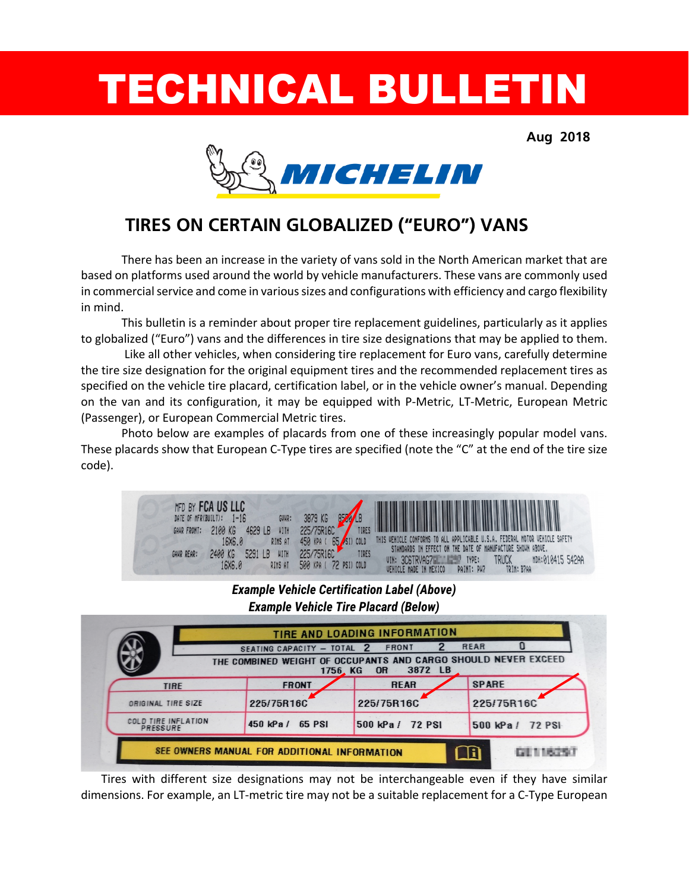# TECHNICAL BULLETIN

**Aug 2018**



# **TIRES ON CERTAIN GLOBALIZED ("EURO") VANS**

There has been an increase in the variety of vans sold in the North American market that are based on platforms used around the world by vehicle manufacturers. These vans are commonly used in commercial service and come in various sizes and configurations with efficiency and cargo flexibility in mind.

This bulletin is a reminder about proper tire replacement guidelines, particularly as it applies to globalized ("Euro") vans and the differences in tire size designations that may be applied to them.

Like all other vehicles, when considering tire replacement for Euro vans, carefully determine the tire size designation for the original equipment tires and the recommended replacement tires as specified on the vehicle tire placard, certification label, or in the vehicle owner's manual. Depending on the van and its configuration, it may be equipped with P-Metric, LT-Metric, European Metric (Passenger), or European Commercial Metric tires.

Photo below are examples of placards from one of these increasingly popular model vans. These placards show that European C-Type tires are specified (note the "C" at the end of the tire size code).



## *Example Vehicle Certification Label (Above) Example Vehicle Tire Placard (Below)*

|                                 | SEATING CAPACITY - TOTAL 2<br>1756, KG | FRONT<br>THE COMBINED WEIGHT OF OCCUPANTS AND CARGO SHOULD NEVER EXCEED<br>3872 LB<br><b>OR</b> | REAR             |
|---------------------------------|----------------------------------------|-------------------------------------------------------------------------------------------------|------------------|
| <b>TIRE</b>                     | <b>FRONT</b>                           | <b>REAR</b>                                                                                     | <b>SPARE</b>     |
| ORIGINAL TIRE SIZE              | 225/75R16C                             | 225/75R16C                                                                                      | 225/75R16C       |
| COLD TIRE INFLATION<br>PRESSURE | 450 kPa / 65 PSI                       | 500 kPa / 72 PSI                                                                                | 500 kPa / 72 PSI |

Tires with different size designations may not be interchangeable even if they have similar dimensions. For example, an LT-metric tire may not be a suitable replacement for a C-Type European